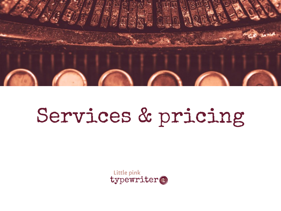

# Services & pricing

Little pink typewriter®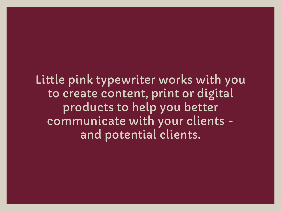Little pink typewriter works with you to create content, print or digital products to help you better communicate with your clients and potential clients.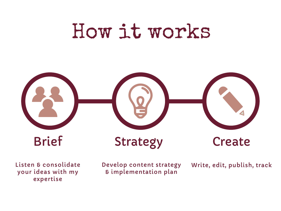## How it works



Listen & consolidate your ideas with my expertise

Develop content strategy & implementation plan

Write, edit, publish, track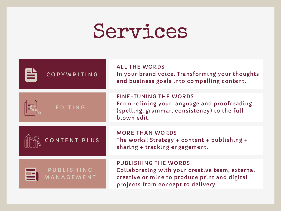### Services

| COPYWRITING             | <b>ALL THE WORDS</b><br>In your brand voice. Transforming your thoughts<br>and business goals into compelling content.                                                |
|-------------------------|-----------------------------------------------------------------------------------------------------------------------------------------------------------------------|
| EDITING                 | <b>FINE-TUNING THE WORDS</b><br>From refining your language and proofreading<br>(spelling, grammar, consistency) to the full-<br>blown edit.                          |
| CONTENT PLUS            | <b>MORE THAN WORDS</b><br>The works! Strategy + content + publishing +<br>sharing + tracking engagement.                                                              |
| PUBLISHING<br>ANAGEMENT | <b>PUBLISHING THE WORDS</b><br>Collaborating with your creative team, external<br>creative or mine to produce print and digital<br>projects from concept to delivery. |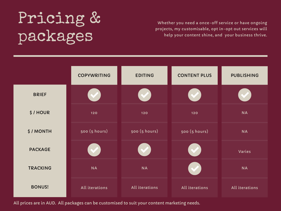#### Pricing & packages

Whether you need a once-off service or have ongoing projects, my customisable, opt in-opt out services will help your content shine, and your business thrive.

|                 | <b>COPYWRITING</b> | <b>EDITING</b> | <b>CONTENT PLUS</b> | <b>PUBLISHING</b> |
|-----------------|--------------------|----------------|---------------------|-------------------|
| <b>BRIEF</b>    |                    |                |                     |                   |
| \$/HOUR         | 120                | 120            | 120                 | <b>NA</b>         |
| \$/MONTH        | 500 (5 hours)      | 500 (5 hours)  | 500 (5 hours)       | <b>NA</b>         |
| <b>PACKAGE</b>  |                    |                |                     | Varies            |
| <b>TRACKING</b> | <b>NA</b>          | <b>NA</b>      |                     | <b>NA</b>         |
| <b>BONUS!</b>   | All iterations     | All iterations | All iterations      | All iterations    |

All prices are in AUD. All packages can be customised to suit your content marketing needs.